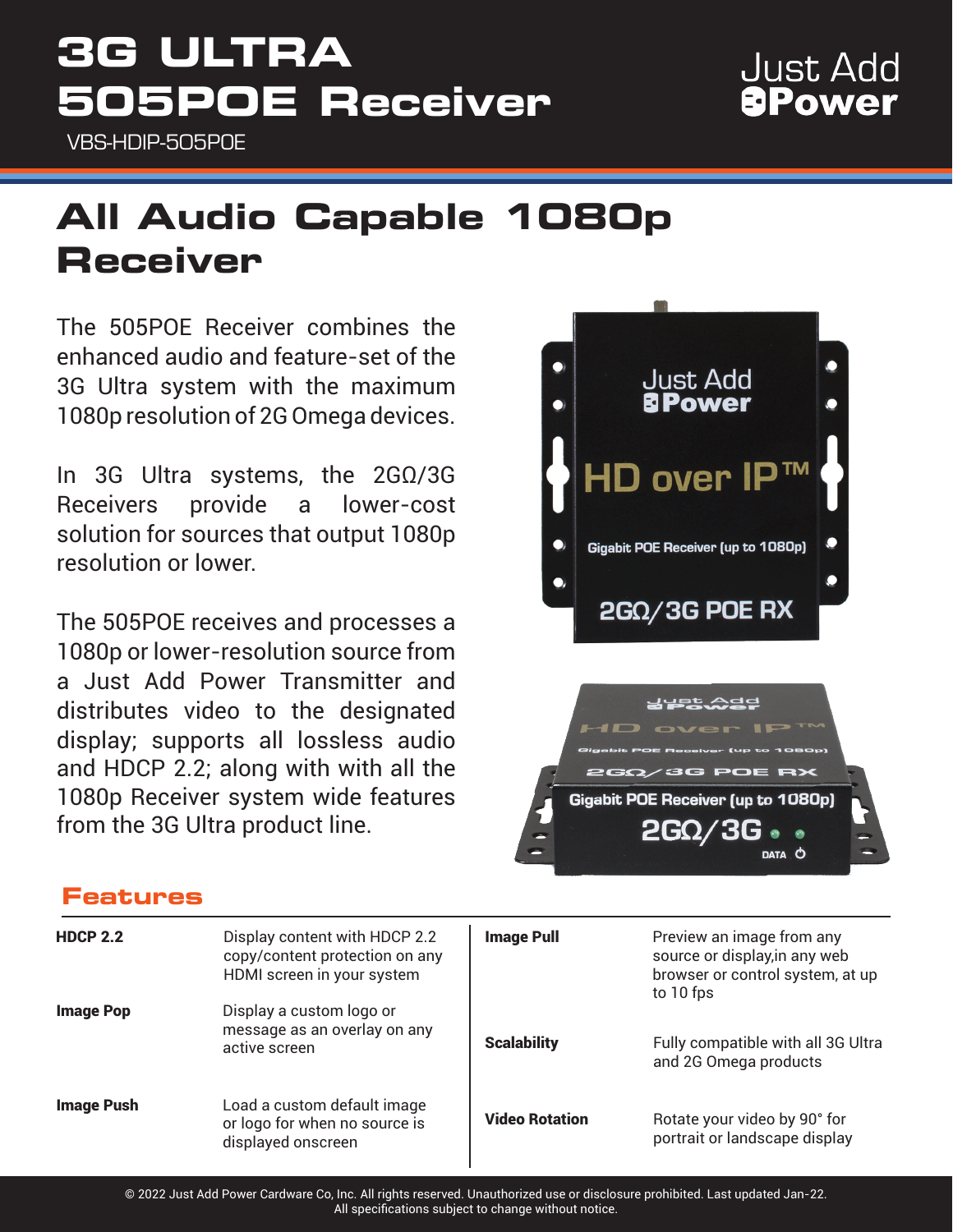## **3G ULTRA 505POE Receiver**

VBS-HDIP-505POE

### **Just Add APower**

### **All Audio Capable 1080p Receiver**

The 505POE Receiver combines the enhanced audio and feature-set of the 3G Ultra system with the maximum 1080p resolution of 2G Omega devices.

In 3G Ultra systems, the 2GΩ/3G Receivers provide a lower-cost solution for sources that output 1080p resolution or lower.

The 505POE receives and processes a 1080p or lower-resolution source from a Just Add Power Transmitter and distributes video to the designated display; supports all lossless audio and HDCP 2.2; along with with all the 1080p Receiver system wide features from the 3G Ultra product line.



### **Features**

| <b>HDCP 2.2</b>   | Display content with HDCP 2.2<br>copy/content protection on any<br>HDMI screen in your system | <b>Image Pull</b>     | Preview an image from any<br>source or display, in any web<br>browser or control system, at up<br>to 10 fps |
|-------------------|-----------------------------------------------------------------------------------------------|-----------------------|-------------------------------------------------------------------------------------------------------------|
| <b>Image Pop</b>  | Display a custom logo or<br>message as an overlay on any<br>active screen                     | <b>Scalability</b>    | Fully compatible with all 3G Ultra<br>and 2G Omega products                                                 |
| <b>Image Push</b> | Load a custom default image<br>or logo for when no source is<br>displayed onscreen            | <b>Video Rotation</b> | Rotate your video by 90° for<br>portrait or landscape display                                               |